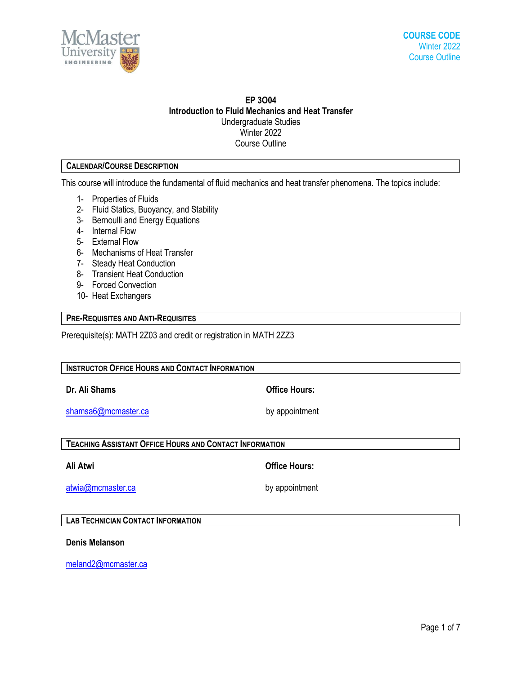

# **EP 3O04 Introduction to Fluid Mechanics and Heat Transfer** Undergraduate Studies Winter 2022 Course Outline

# **CALENDAR/COURSE DESCRIPTION**

This course will introduce the fundamental of fluid mechanics and heat transfer phenomena. The topics include:

- 1- Properties of Fluids
- 2- Fluid Statics, Buoyancy, and Stability
- 3- Bernoulli and Energy Equations
- 4- Internal Flow
- 5- External Flow
- 6- Mechanisms of Heat Transfer
- 7- Steady Heat Conduction
- 8- Transient Heat Conduction
- 9- Forced Convection
- 10- Heat Exchangers

### **PRE-REQUISITES AND ANTI-REQUISITES**

Prerequisite(s): MATH 2Z03 and credit or registration in MATH 2ZZ3

| <b>INSTRUCTOR OFFICE HOURS AND CONTACT INFORMATION</b>         |                      |  |  |  |
|----------------------------------------------------------------|----------------------|--|--|--|
| Dr. Ali Shams                                                  | <b>Office Hours:</b> |  |  |  |
| shamsa6@mcmaster.ca                                            | by appointment       |  |  |  |
| <b>TEACHING ASSISTANT OFFICE HOURS AND CONTACT INFORMATION</b> |                      |  |  |  |
| Ali Atwi                                                       | <b>Office Hours:</b> |  |  |  |
| atwia@mcmaster.ca                                              | by appointment       |  |  |  |

**LAB TECHNICIAN CONTACT INFORMATION**

**Denis Melanson**

[meland2@mcmaster.ca](mailto:meland2@mcmaster.ca)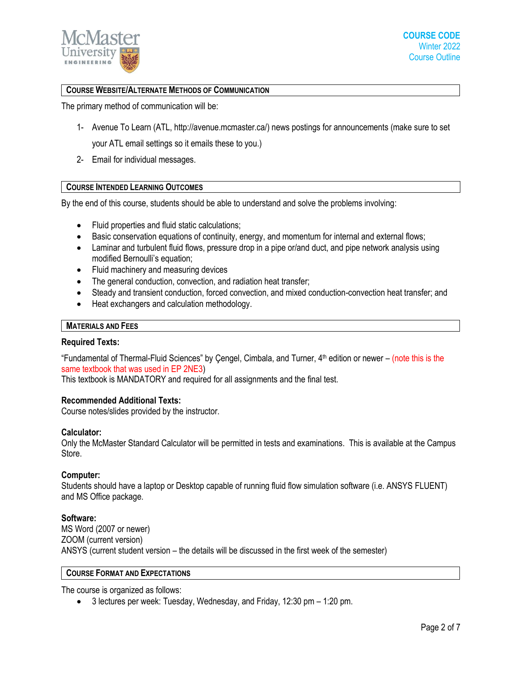

## **COURSE WEBSITE/ALTERNATE METHODS OF COMMUNICATION**

The primary method of communication will be:

- 1- Avenue To Learn (ATL, [http://avenue.mcmaster.ca/\)](http://avenue.mcmaster.ca/) news postings for announcements (make sure to set your ATL email settings so it emails these to you.)
- 2- Email for individual messages.

### **COURSE INTENDED LEARNING OUTCOMES**

By the end of this course, students should be able to understand and solve the problems involving:

- Fluid properties and fluid static calculations;
- Basic conservation equations of continuity, energy, and momentum for internal and external flows;
- Laminar and turbulent fluid flows, pressure drop in a pipe or/and duct, and pipe network analysis using modified Bernoulli's equation;
- Fluid machinery and measuring devices
- The general conduction, convection, and radiation heat transfer;
- Steady and transient conduction, forced convection, and mixed conduction-convection heat transfer; and
- Heat exchangers and calculation methodology.

#### **MATERIALS AND FEES**

### **Required Texts:**

"Fundamental of Thermal-Fluid Sciences" by Cengel, Cimbala, and Turner,  $4<sup>th</sup>$  edition or newer – (note this is the same textbook that was used in EP 2NE3)

This textbook is MANDATORY and required for all assignments and the final test.

### **Recommended Additional Texts:**

Course notes/slides provided by the instructor.

### **Calculator:**

Only the McMaster Standard Calculator will be permitted in tests and examinations. This is available at the Campus Store.

### **Computer:**

Students should have a laptop or Desktop capable of running fluid flow simulation software (i.e. ANSYS FLUENT) and MS Office package.

### **Software:**

MS Word (2007 or newer) ZOOM (current version) ANSYS (current student version – the details will be discussed in the first week of the semester)

### **COURSE FORMAT AND EXPECTATIONS**

The course is organized as follows:

3 lectures per week: Tuesday, Wednesday, and Friday, 12:30 pm – 1:20 pm.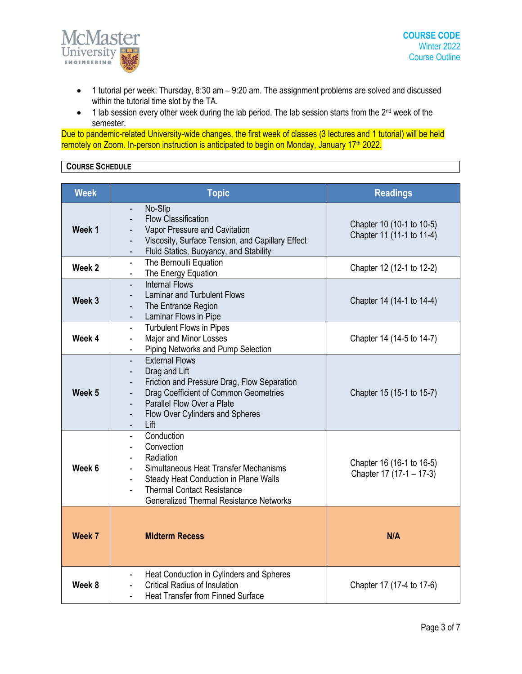

- 1 tutorial per week: Thursday, 8:30 am 9:20 am. The assignment problems are solved and discussed within the tutorial time slot by the TA.
- 1 lab session every other week during the lab period. The lab session starts from the 2<sup>nd</sup> week of the semester.

Due to pandemic-related University-wide changes, the first week of classes (3 lectures and 1 tutorial) will be held remotely on Zoom. In-person instruction is anticipated to begin on Monday, January 17<sup>th</sup> 2022.

# **COURSE SCHEDULE**

| <b>Week</b> | <b>Topic</b>                                                                                                                                                                                                                                                                                                                                                                                     | <b>Readings</b>                                        |
|-------------|--------------------------------------------------------------------------------------------------------------------------------------------------------------------------------------------------------------------------------------------------------------------------------------------------------------------------------------------------------------------------------------------------|--------------------------------------------------------|
| Week 1      | No-Slip<br>$\overline{\phantom{a}}$<br><b>Flow Classification</b><br>$\overline{\phantom{a}}$<br>Vapor Pressure and Cavitation<br>$\overline{\phantom{a}}$<br>Viscosity, Surface Tension, and Capillary Effect<br>$\frac{1}{2}$<br>Fluid Statics, Buoyancy, and Stability<br>٠                                                                                                                   | Chapter 10 (10-1 to 10-5)<br>Chapter 11 (11-1 to 11-4) |
| Week 2      | The Bernoulli Equation<br>$\blacksquare$<br>The Energy Equation<br>$\overline{\phantom{0}}$                                                                                                                                                                                                                                                                                                      | Chapter 12 (12-1 to 12-2)                              |
| Week 3      | <b>Internal Flows</b><br><b>Laminar and Turbulent Flows</b><br>$\overline{\phantom{a}}$<br>The Entrance Region<br>$\overline{\phantom{a}}$<br>Laminar Flows in Pipe<br>$\overline{\phantom{a}}$                                                                                                                                                                                                  | Chapter 14 (14-1 to 14-4)                              |
| Week 4      | Turbulent Flows in Pipes<br>$\blacksquare$<br>Major and Minor Losses<br>$\blacksquare$<br>Piping Networks and Pump Selection                                                                                                                                                                                                                                                                     | Chapter 14 (14-5 to 14-7)                              |
| Week 5      | <b>External Flows</b><br>$\overline{\phantom{0}}$<br>Drag and Lift<br>$\overline{\phantom{a}}$<br>Friction and Pressure Drag, Flow Separation<br>$\frac{1}{2}$<br>Drag Coefficient of Common Geometries<br>$\overline{\phantom{a}}$<br>Parallel Flow Over a Plate<br>$\overline{\phantom{a}}$<br>Flow Over Cylinders and Spheres<br>$\overline{\phantom{a}}$<br>Lift<br>$\overline{\phantom{0}}$ | Chapter 15 (15-1 to 15-7)                              |
| Week 6      | Conduction<br>÷,<br>Convection<br>$\blacksquare$<br>Radiation<br>$\blacksquare$<br>Simultaneous Heat Transfer Mechanisms<br>$\overline{\phantom{a}}$<br>Steady Heat Conduction in Plane Walls<br>$\blacksquare$<br><b>Thermal Contact Resistance</b><br><b>Generalized Thermal Resistance Networks</b>                                                                                           | Chapter 16 (16-1 to 16-5)<br>Chapter 17 (17-1 - 17-3)  |
| Week 7      | <b>Midterm Recess</b>                                                                                                                                                                                                                                                                                                                                                                            | N/A                                                    |
| Week 8      | Heat Conduction in Cylinders and Spheres<br>$\overline{\phantom{a}}$<br><b>Critical Radius of Insulation</b><br><b>Heat Transfer from Finned Surface</b>                                                                                                                                                                                                                                         | Chapter 17 (17-4 to 17-6)                              |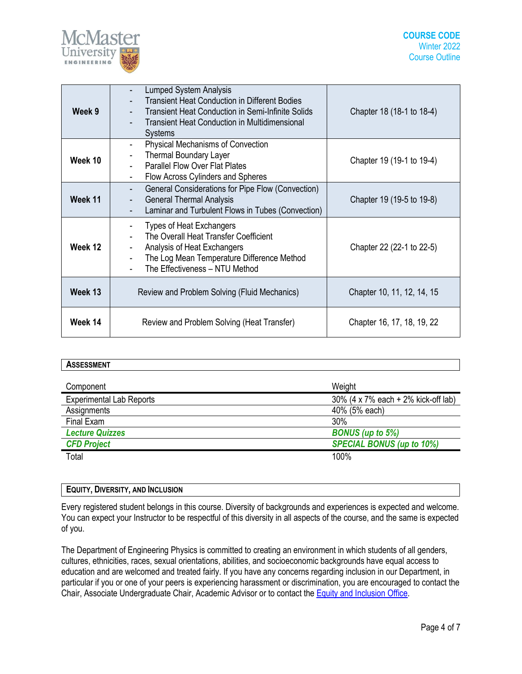

| Week 9  | <b>Lumped System Analysis</b><br><b>Transient Heat Conduction in Different Bodies</b><br><b>Transient Heat Conduction in Semi-Infinite Solids</b><br>$\blacksquare$<br><b>Transient Heat Conduction in Multidimensional</b><br><b>Systems</b> | Chapter 18 (18-1 to 18-4)  |
|---------|-----------------------------------------------------------------------------------------------------------------------------------------------------------------------------------------------------------------------------------------------|----------------------------|
| Week 10 | Physical Mechanisms of Convection<br>$\overline{\phantom{a}}$<br>Thermal Boundary Layer<br>$\overline{\phantom{a}}$<br><b>Parallel Flow Over Flat Plates</b><br>$\overline{\phantom{0}}$<br>Flow Across Cylinders and Spheres                 | Chapter 19 (19-1 to 19-4)  |
| Week 11 | General Considerations for Pipe Flow (Convection)<br>-<br><b>General Thermal Analysis</b><br>$\overline{\phantom{a}}$<br>Laminar and Turbulent Flows in Tubes (Convection)                                                                    | Chapter 19 (19-5 to 19-8)  |
| Week 12 | <b>Types of Heat Exchangers</b><br>-<br>The Overall Heat Transfer Coefficient<br>Analysis of Heat Exchangers<br>$\overline{\phantom{a}}$<br>The Log Mean Temperature Difference Method<br>The Effectiveness - NTU Method                      | Chapter 22 (22-1 to 22-5)  |
| Week 13 | Review and Problem Solving (Fluid Mechanics)                                                                                                                                                                                                  | Chapter 10, 11, 12, 14, 15 |
| Week 14 | Review and Problem Solving (Heat Transfer)                                                                                                                                                                                                    | Chapter 16, 17, 18, 19, 22 |

| <b>ASSESSMENT</b>               |                                     |
|---------------------------------|-------------------------------------|
| Component                       | Weight                              |
|                                 |                                     |
| <b>Experimental Lab Reports</b> | 30% (4 x 7% each + 2% kick-off lab) |
| Assignments                     | 40% (5% each)                       |
| Final Exam                      | 30%                                 |
| <b>Lecture Quizzes</b>          | <b>BONUS</b> (up to 5%)             |
| <b>CFD Project</b>              | <b>SPECIAL BONUS (up to 10%)</b>    |
| Total                           | 100%                                |

| <b>EQUITY, DIVERSITY, AND INCLUSION</b> |  |
|-----------------------------------------|--|
|                                         |  |

Every registered student belongs in this course. Diversity of backgrounds and experiences is expected and welcome. You can expect your Instructor to be respectful of this diversity in all aspects of the course, and the same is expected of you.

The Department of Engineering Physics is committed to creating an environment in which students of all genders, cultures, ethnicities, races, sexual orientations, abilities, and socioeconomic backgrounds have equal access to education and are welcomed and treated fairly. If you have any concerns regarding inclusion in our Department, in particular if you or one of your peers is experiencing harassment or discrimination, you are encouraged to contact the Chair, Associate Undergraduate Chair, Academic Advisor or to contact the **Equity and [Inclusion](https://equity.mcmaster.ca/) Office**.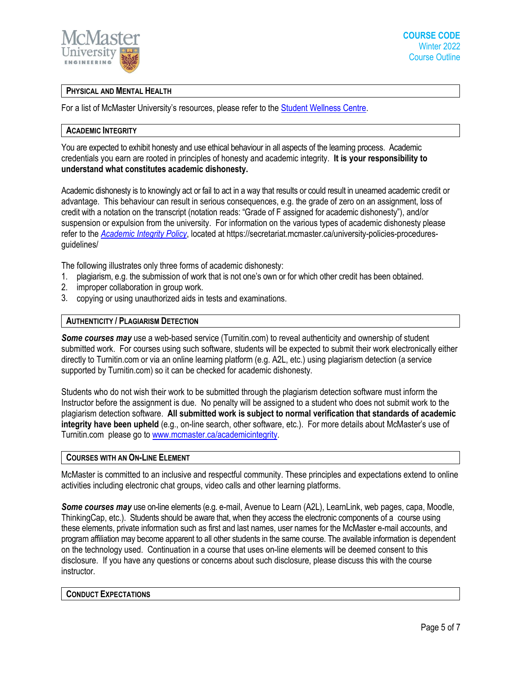

### **PHYSICAL AND MENTAL HEALTH**

For a list of McMaster University's resources, please refer to the **Student Wellness Centre**.

### **ACADEMIC INTEGRITY**

You are expected to exhibit honesty and use ethical behaviour in all aspects of the learning process. Academic credentials you earn are rooted in principles of honesty and academic integrity. **It is your responsibility to understand what constitutes academic dishonesty.**

Academic dishonesty is to knowingly act or fail to act in a way that results or could result in unearned academic credit or advantage. This behaviour can result in serious consequences, e.g. the grade of zero on an assignment, loss of credit with a notation on the transcript (notation reads: "Grade of F assigned for academic dishonesty"), and/or suspension or expulsion from the university. For information on the various types of academic dishonesty please refer to the *[Academic Integrity Policy](https://secretariat.mcmaster.ca/app/uploads/Academic-Integrity-Policy-1-1.pdf)*, located at https://secretariat.mcmaster.ca/university-policies-proceduresguidelines/

The following illustrates only three forms of academic dishonesty:

- 1. plagiarism, e.g. the submission of work that is not one's own or for which other credit has been obtained.
- 2. improper collaboration in group work.
- 3. copying or using unauthorized aids in tests and examinations.

### **AUTHENTICITY / PLAGIARISM DETECTION**

*Some courses may* use a web-based service (Turnitin.com) to reveal authenticity and ownership of student submitted work. For courses using such software, students will be expected to submit their work electronically either directly to Turnitin.com or via an online learning platform (e.g. A2L, etc.) using plagiarism detection (a service supported by Turnitin.com) so it can be checked for academic dishonesty.

Students who do not wish their work to be submitted through the plagiarism detection software must inform the Instructor before the assignment is due. No penalty will be assigned to a student who does not submit work to the plagiarism detection software. **All submitted work is subject to normal verification that standards of academic integrity have been upheld** (e.g., on-line search, other software, etc.). For more details about McMaster's use of Turnitin.com please go t[o www.mcmaster.ca/academicintegrity.](http://www.mcmaster.ca/academicintegrity)

### **COURSES WITH AN ON-LINE ELEMENT**

McMaster is committed to an inclusive and respectful community. These principles and expectations extend to online activities including electronic chat groups, video calls and other learning platforms.

*Some courses may* use on-line elements (e.g. e-mail, Avenue to Learn (A2L), LearnLink, web pages, capa, Moodle, ThinkingCap, etc.). Students should be aware that, when they access the electronic components of a course using these elements, private information such as first and last names, user names for the McMaster e-mail accounts, and program affiliation may become apparent to all other students in the same course. The available information is dependent on the technology used. Continuation in a course that uses on-line elements will be deemed consent to this disclosure. If you have any questions or concerns about such disclosure, please discuss this with the course instructor.

### **CONDUCT EXPECTATIONS**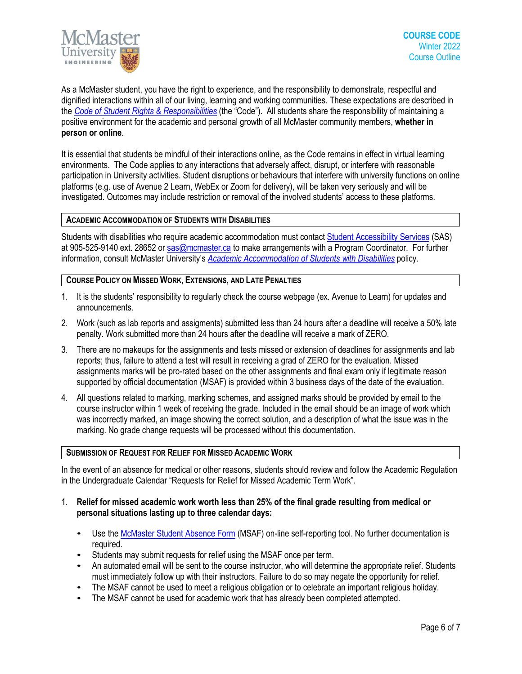

As a McMaster student, you have the right to experience, and the responsibility to demonstrate, respectful and dignified interactions within all of our living, learning and working communities. These expectations are described in the *Code of Student Rights & [Responsibilities](https://secretariat.mcmaster.ca/app/uploads/Code-of-Student-Rights-and-Responsibilities.pdf)* (the "Code"). All students share the responsibility of maintaining a positive environment for the academic and personal growth of all McMaster community members, **whether in person or online**.

It is essential that students be mindful of their interactions online, as the Code remains in effect in virtual learning environments. The Code applies to any interactions that adversely affect, disrupt, or interfere with reasonable participation in University activities. Student disruptions or behaviours that interfere with university functions on online platforms (e.g. use of Avenue 2 Learn, WebEx or Zoom for delivery), will be taken very seriously and will be investigated. Outcomes may include restriction or removal of the involved students' access to these platforms.

### **ACADEMIC ACCOMMODATION OF STUDENTS WITH DISABILITIES**

Students with disabilities who require academic accommodation must contact Student [Accessibility Services](https://sas.mcmaster.ca/) (SAS) at 905-525-9140 ext. 28652 or [sas@mcmaster.ca](mailto:sas@mcmaster.ca) to make arrangements with a Program Coordinator. For further information, consult McMaster University's *[Academic Accommodation](https://secretariat.mcmaster.ca/app/uploads/Academic-Accommodations-Policy.pdf) of Students with Disabilities* policy.

### **COURSE POLICY ON MISSED WORK, EXTENSIONS, AND LATE PENALTIES**

- 1. It is the students' responsibility to regularly check the course webpage (ex. Avenue to Learn) for updates and announcements.
- 2. Work (such as lab reports and assigments) submitted less than 24 hours after a deadline will receive a 50% late penalty. Work submitted more than 24 hours after the deadline will receive a mark of ZERO.
- 3. There are no makeups for the assignments and tests missed or extension of deadlines for assignments and lab reports; thus, failure to attend a test will result in receiving a grad of ZERO for the evaluation. Missed assignments marks will be pro-rated based on the other assignments and final exam only if legitimate reason supported by official documentation (MSAF) is provided within 3 business days of the date of the evaluation.
- 4. All questions related to marking, marking schemes, and assigned marks should be provided by email to the course instructor within 1 week of receiving the grade. Included in the email should be an image of work which was incorrectly marked, an image showing the correct solution, and a description of what the issue was in the marking. No grade change requests will be processed without this documentation.

### **SUBMISSION OF REQUEST FOR RELIEF FOR MISSED ACADEMIC WORK**

In the event of an absence for medical or other reasons, students should review and follow the Academic Regulation in the Undergraduate Calendar "Requests for Relief for Missed Academic Term Work".

- 1. **Relief for missed academic work worth less than 25% of the final grade resulting from medical or personal situations lasting up to three calendar days:**
	- Use th[e McMaster Student Absence Form](http://mcmaster.ca/msaf/) (MSAF) on-line self-reporting tool. No further documentation is required.
	- Students may submit requests for relief using the MSAF once per term.
	- An automated email will be sent to the course instructor, who will determine the appropriate relief. Students must immediately follow up with their instructors. Failure to do so may negate the opportunity for relief.
	- The MSAF cannot be used to meet a religious obligation or to celebrate an important religious holiday.
	- The MSAF cannot be used for academic work that has already been completed attempted.